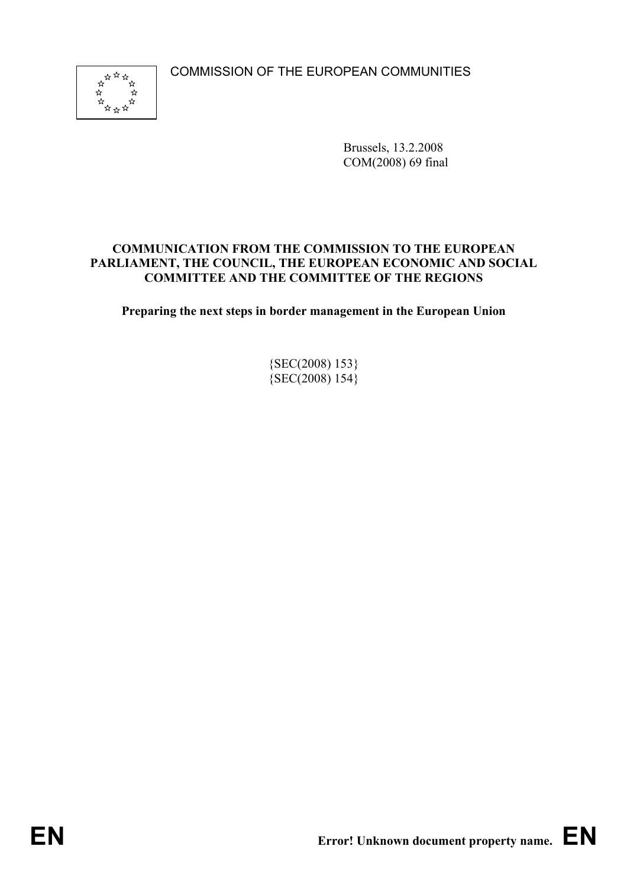COMMISSION OF THE EUROPEAN COMMUNITIES



Brussels, 13.2.2008 COM(2008) 69 final

#### **COMMUNICATION FROM THE COMMISSION TO THE EUROPEAN PARLIAMENT, THE COUNCIL, THE EUROPEAN ECONOMIC AND SOCIAL COMMITTEE AND THE COMMITTEE OF THE REGIONS**

**Preparing the next steps in border management in the European Union** 

{SEC(2008) 153}  ${SEC(2008) 154}$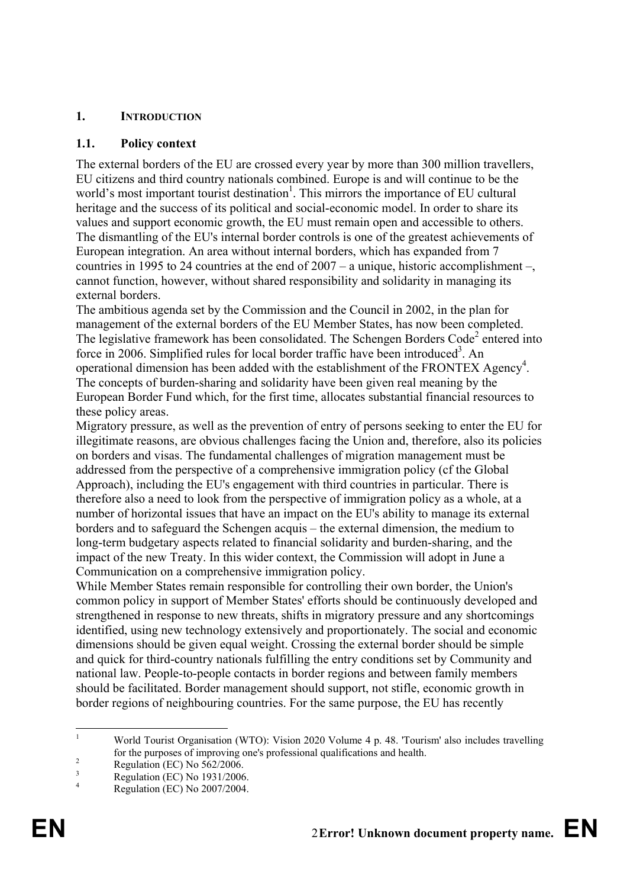# **1. INTRODUCTION**

#### **1.1. Policy context**

The external borders of the EU are crossed every year by more than 300 million travellers, EU citizens and third country nationals combined. Europe is and will continue to be the world's most important tourist destination<sup>1</sup>. This mirrors the importance of EU cultural heritage and the success of its political and social-economic model. In order to share its values and support economic growth, the EU must remain open and accessible to others. The dismantling of the EU's internal border controls is one of the greatest achievements of European integration. An area without internal borders, which has expanded from 7 countries in 1995 to 24 countries at the end of 2007 – a unique, historic accomplishment –, cannot function, however, without shared responsibility and solidarity in managing its external borders.

The ambitious agenda set by the Commission and the Council in 2002, in the plan for management of the external borders of the EU Member States, has now been completed. The legislative framework has been consolidated. The Schengen Borders Code<sup>2</sup> entered into force in 2006. Simplified rules for local border traffic have been introduced<sup>3</sup>. An operational dimension has been added with the establishment of the FRONTEX Agency<sup>4</sup>. The concepts of burden-sharing and solidarity have been given real meaning by the European Border Fund which, for the first time, allocates substantial financial resources to these policy areas.

Migratory pressure, as well as the prevention of entry of persons seeking to enter the EU for illegitimate reasons, are obvious challenges facing the Union and, therefore, also its policies on borders and visas. The fundamental challenges of migration management must be addressed from the perspective of a comprehensive immigration policy (cf the Global Approach), including the EU's engagement with third countries in particular. There is therefore also a need to look from the perspective of immigration policy as a whole, at a number of horizontal issues that have an impact on the EU's ability to manage its external borders and to safeguard the Schengen acquis – the external dimension, the medium to long-term budgetary aspects related to financial solidarity and burden-sharing, and the impact of the new Treaty. In this wider context, the Commission will adopt in June a Communication on a comprehensive immigration policy.

While Member States remain responsible for controlling their own border, the Union's common policy in support of Member States' efforts should be continuously developed and strengthened in response to new threats, shifts in migratory pressure and any shortcomings identified, using new technology extensively and proportionately. The social and economic dimensions should be given equal weight. Crossing the external border should be simple and quick for third-country nationals fulfilling the entry conditions set by Community and national law. People-to-people contacts in border regions and between family members should be facilitated. Border management should support, not stifle, economic growth in border regions of neighbouring countries. For the same purpose, the EU has recently

 $\frac{1}{1}$  World Tourist Organisation (WTO): Vision 2020 Volume 4 p. 48. 'Tourism' also includes travelling for the purposes of improving one's professional qualifications and health.

Regulation (EC) No 562/2006.

<sup>3</sup> Regulation (EC) No 1931/2006. 4

Regulation (EC) No 2007/2004.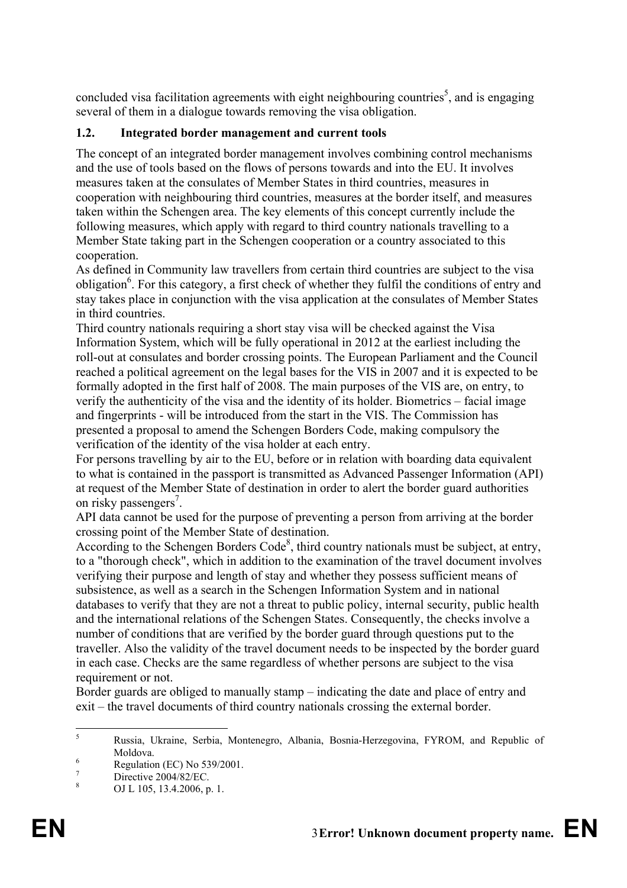concluded visa facilitation agreements with eight neighbouring countries<sup>5</sup>, and is engaging several of them in a dialogue towards removing the visa obligation.

# **1.2. Integrated border management and current tools**

The concept of an integrated border management involves combining control mechanisms and the use of tools based on the flows of persons towards and into the EU. It involves measures taken at the consulates of Member States in third countries, measures in cooperation with neighbouring third countries, measures at the border itself, and measures taken within the Schengen area. The key elements of this concept currently include the following measures, which apply with regard to third country nationals travelling to a Member State taking part in the Schengen cooperation or a country associated to this cooperation.

As defined in Community law travellers from certain third countries are subject to the visa obligation<sup>6</sup>. For this category, a first check of whether they fulfil the conditions of entry and stay takes place in conjunction with the visa application at the consulates of Member States in third countries.

Third country nationals requiring a short stay visa will be checked against the Visa Information System, which will be fully operational in 2012 at the earliest including the roll-out at consulates and border crossing points. The European Parliament and the Council reached a political agreement on the legal bases for the VIS in 2007 and it is expected to be formally adopted in the first half of 2008. The main purposes of the VIS are, on entry, to verify the authenticity of the visa and the identity of its holder. Biometrics – facial image and fingerprints - will be introduced from the start in the VIS. The Commission has presented a proposal to amend the Schengen Borders Code, making compulsory the verification of the identity of the visa holder at each entry.

For persons travelling by air to the EU, before or in relation with boarding data equivalent to what is contained in the passport is transmitted as Advanced Passenger Information (API) at request of the Member State of destination in order to alert the border guard authorities on risky passengers<sup>7</sup>.

API data cannot be used for the purpose of preventing a person from arriving at the border crossing point of the Member State of destination.

According to the Schengen Borders Code<sup>8</sup>, third country nationals must be subject, at entry, to a "thorough check", which in addition to the examination of the travel document involves verifying their purpose and length of stay and whether they possess sufficient means of subsistence, as well as a search in the Schengen Information System and in national databases to verify that they are not a threat to public policy, internal security, public health and the international relations of the Schengen States. Consequently, the checks involve a number of conditions that are verified by the border guard through questions put to the traveller. Also the validity of the travel document needs to be inspected by the border guard in each case. Checks are the same regardless of whether persons are subject to the visa requirement or not.

Border guards are obliged to manually stamp – indicating the date and place of entry and exit – the travel documents of third country nationals crossing the external border.

 $\frac{1}{5}$  Russia, Ukraine, Serbia, Montenegro, Albania, Bosnia-Herzegovina, FYROM, and Republic of Moldova.

Regulation (EC) No 539/2001.

<sup>7</sup> Directive 2004/82/EC.

<sup>8</sup> OJ L 105, 13.4.2006, p. 1.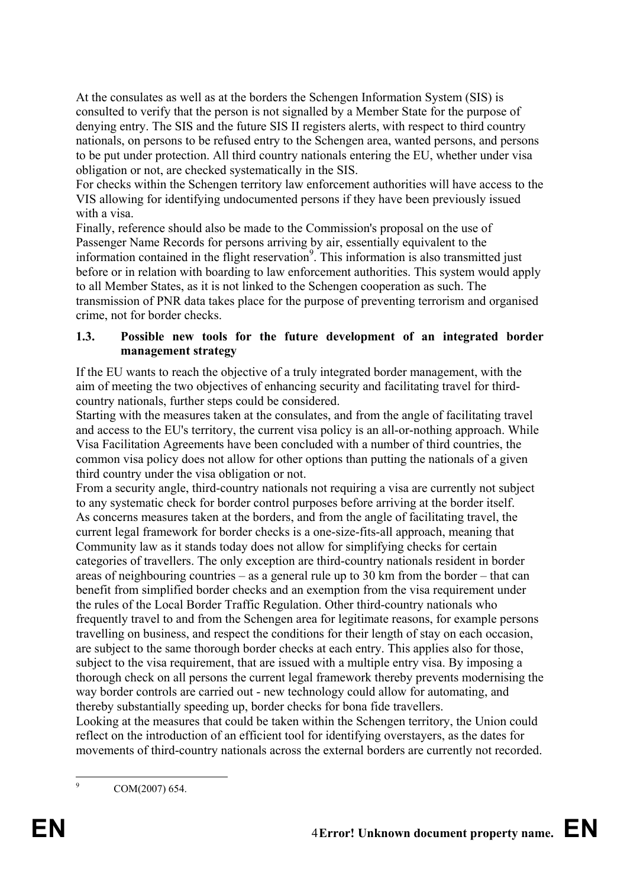At the consulates as well as at the borders the Schengen Information System (SIS) is consulted to verify that the person is not signalled by a Member State for the purpose of denying entry. The SIS and the future SIS II registers alerts, with respect to third country nationals, on persons to be refused entry to the Schengen area, wanted persons, and persons to be put under protection. All third country nationals entering the EU, whether under visa obligation or not, are checked systematically in the SIS.

For checks within the Schengen territory law enforcement authorities will have access to the VIS allowing for identifying undocumented persons if they have been previously issued with a visa.

Finally, reference should also be made to the Commission's proposal on the use of Passenger Name Records for persons arriving by air, essentially equivalent to the information contained in the flight reservation<sup>9</sup>. This information is also transmitted just before or in relation with boarding to law enforcement authorities. This system would apply to all Member States, as it is not linked to the Schengen cooperation as such. The transmission of PNR data takes place for the purpose of preventing terrorism and organised crime, not for border checks.

# **1.3. Possible new tools for the future development of an integrated border management strategy**

If the EU wants to reach the objective of a truly integrated border management, with the aim of meeting the two objectives of enhancing security and facilitating travel for thirdcountry nationals, further steps could be considered.

Starting with the measures taken at the consulates, and from the angle of facilitating travel and access to the EU's territory, the current visa policy is an all-or-nothing approach. While Visa Facilitation Agreements have been concluded with a number of third countries, the common visa policy does not allow for other options than putting the nationals of a given third country under the visa obligation or not.

From a security angle, third-country nationals not requiring a visa are currently not subject to any systematic check for border control purposes before arriving at the border itself. As concerns measures taken at the borders, and from the angle of facilitating travel, the current legal framework for border checks is a one-size-fits-all approach, meaning that Community law as it stands today does not allow for simplifying checks for certain categories of travellers. The only exception are third-country nationals resident in border areas of neighbouring countries – as a general rule up to 30 km from the border – that can benefit from simplified border checks and an exemption from the visa requirement under the rules of the Local Border Traffic Regulation. Other third-country nationals who frequently travel to and from the Schengen area for legitimate reasons, for example persons travelling on business, and respect the conditions for their length of stay on each occasion, are subject to the same thorough border checks at each entry. This applies also for those, subject to the visa requirement, that are issued with a multiple entry visa. By imposing a thorough check on all persons the current legal framework thereby prevents modernising the way border controls are carried out - new technology could allow for automating, and thereby substantially speeding up, border checks for bona fide travellers.

Looking at the measures that could be taken within the Schengen territory, the Union could reflect on the introduction of an efficient tool for identifying overstayers, as the dates for movements of third-country nationals across the external borders are currently not recorded.

<sup>-&</sup>lt;br>9 COM(2007) 654.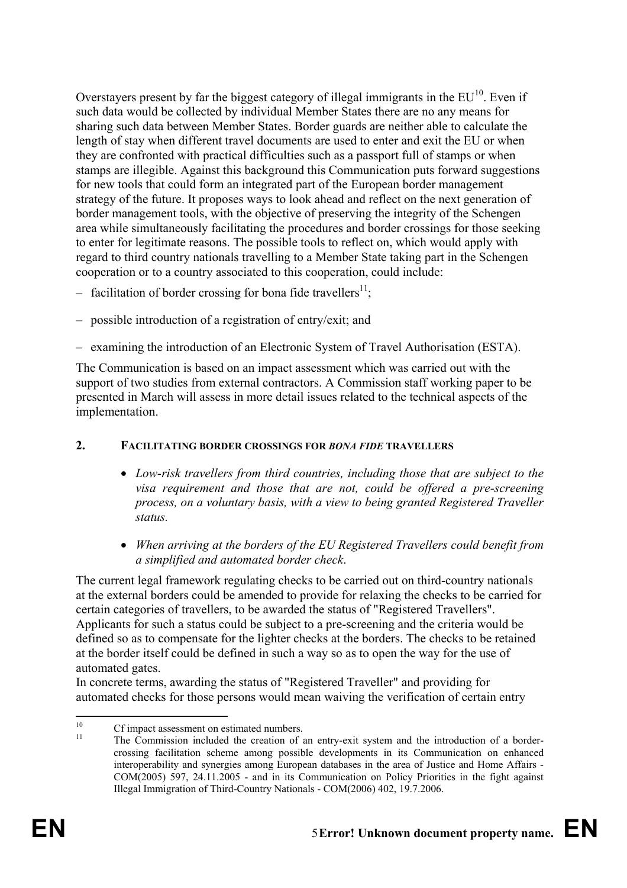Overstayers present by far the biggest category of illegal immigrants in the  $EU^{10}$ . Even if such data would be collected by individual Member States there are no any means for sharing such data between Member States. Border guards are neither able to calculate the length of stay when different travel documents are used to enter and exit the EU or when they are confronted with practical difficulties such as a passport full of stamps or when stamps are illegible. Against this background this Communication puts forward suggestions for new tools that could form an integrated part of the European border management strategy of the future. It proposes ways to look ahead and reflect on the next generation of border management tools, with the objective of preserving the integrity of the Schengen area while simultaneously facilitating the procedures and border crossings for those seeking to enter for legitimate reasons. The possible tools to reflect on, which would apply with regard to third country nationals travelling to a Member State taking part in the Schengen cooperation or to a country associated to this cooperation, could include:

- facilitation of border crossing for bona fide travellers<sup>11</sup>:
- possible introduction of a registration of entry/exit; and
- examining the introduction of an Electronic System of Travel Authorisation (ESTA).

The Communication is based on an impact assessment which was carried out with the support of two studies from external contractors. A Commission staff working paper to be presented in March will assess in more detail issues related to the technical aspects of the implementation.

#### **2. FACILITATING BORDER CROSSINGS FOR** *BONA FIDE* **TRAVELLERS**

- *Low-risk travellers from third countries, including those that are subject to the visa requirement and those that are not, could be offered a pre-screening process, on a voluntary basis, with a view to being granted Registered Traveller status.*
- *When arriving at the borders of the EU Registered Travellers could benefit from a simplified and automated border check*.

The current legal framework regulating checks to be carried out on third-country nationals at the external borders could be amended to provide for relaxing the checks to be carried for certain categories of travellers, to be awarded the status of "Registered Travellers". Applicants for such a status could be subject to a pre-screening and the criteria would be defined so as to compensate for the lighter checks at the borders. The checks to be retained at the border itself could be defined in such a way so as to open the way for the use of automated gates.

In concrete terms, awarding the status of "Registered Traveller" and providing for automated checks for those persons would mean waiving the verification of certain entry

 $10<sup>10</sup>$  $^{10}$  Cf impact assessment on estimated numbers.

<sup>11</sup> The Commission included the creation of an entry-exit system and the introduction of a bordercrossing facilitation scheme among possible developments in its Communication on enhanced interoperability and synergies among European databases in the area of Justice and Home Affairs - COM(2005) 597, 24.11.2005 - and in its Communication on Policy Priorities in the fight against Illegal Immigration of Third-Country Nationals - COM(2006) 402, 19.7.2006.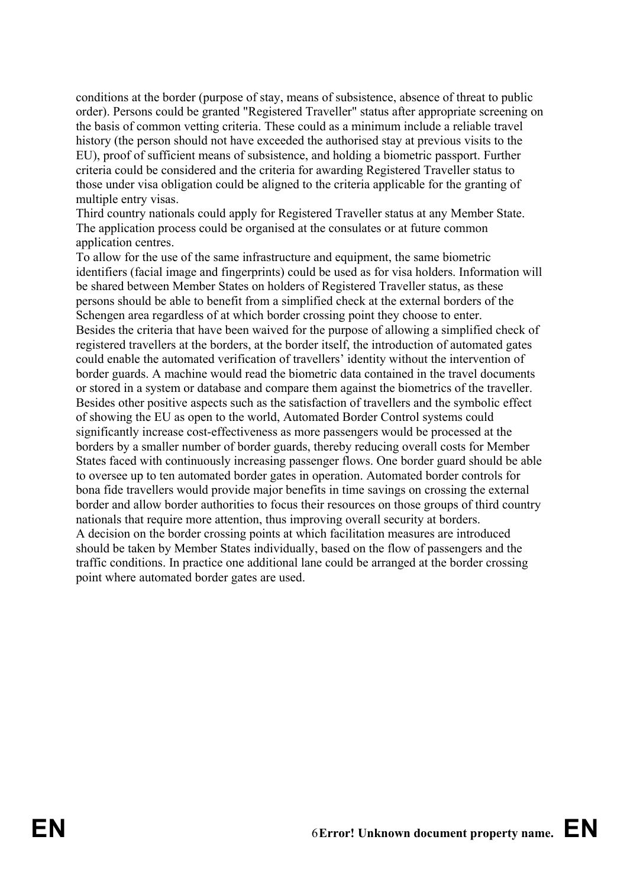conditions at the border (purpose of stay, means of subsistence, absence of threat to public order). Persons could be granted "Registered Traveller" status after appropriate screening on the basis of common vetting criteria. These could as a minimum include a reliable travel history (the person should not have exceeded the authorised stay at previous visits to the EU), proof of sufficient means of subsistence, and holding a biometric passport. Further criteria could be considered and the criteria for awarding Registered Traveller status to those under visa obligation could be aligned to the criteria applicable for the granting of multiple entry visas.

Third country nationals could apply for Registered Traveller status at any Member State. The application process could be organised at the consulates or at future common application centres.

To allow for the use of the same infrastructure and equipment, the same biometric identifiers (facial image and fingerprints) could be used as for visa holders. Information will be shared between Member States on holders of Registered Traveller status, as these persons should be able to benefit from a simplified check at the external borders of the Schengen area regardless of at which border crossing point they choose to enter. Besides the criteria that have been waived for the purpose of allowing a simplified check of registered travellers at the borders, at the border itself, the introduction of automated gates could enable the automated verification of travellers' identity without the intervention of border guards. A machine would read the biometric data contained in the travel documents or stored in a system or database and compare them against the biometrics of the traveller. Besides other positive aspects such as the satisfaction of travellers and the symbolic effect of showing the EU as open to the world, Automated Border Control systems could significantly increase cost-effectiveness as more passengers would be processed at the borders by a smaller number of border guards, thereby reducing overall costs for Member States faced with continuously increasing passenger flows. One border guard should be able to oversee up to ten automated border gates in operation. Automated border controls for bona fide travellers would provide major benefits in time savings on crossing the external border and allow border authorities to focus their resources on those groups of third country nationals that require more attention, thus improving overall security at borders. A decision on the border crossing points at which facilitation measures are introduced should be taken by Member States individually, based on the flow of passengers and the traffic conditions. In practice one additional lane could be arranged at the border crossing point where automated border gates are used.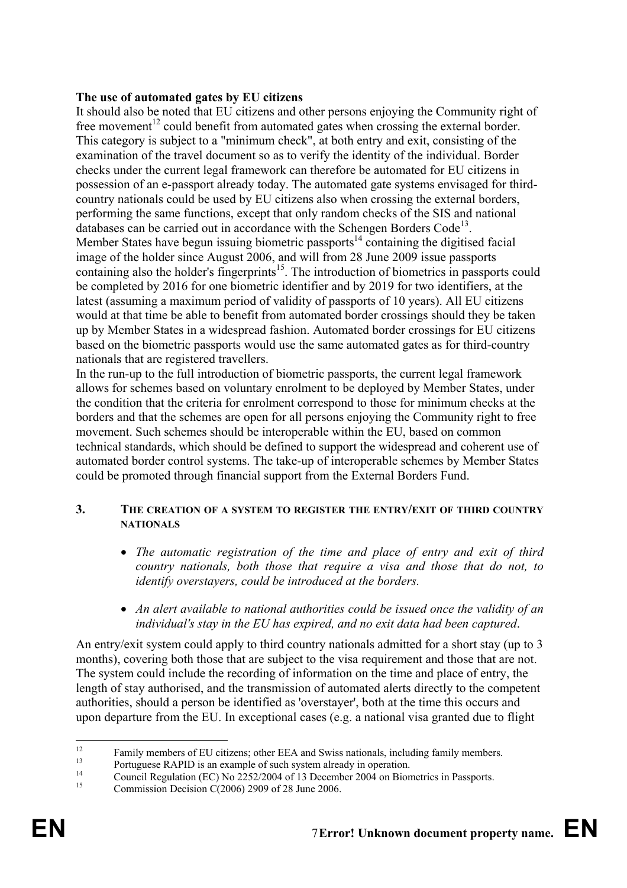## **The use of automated gates by EU citizens**

It should also be noted that EU citizens and other persons enjoying the Community right of free movement<sup>12</sup> could benefit from automated gates when crossing the external border. This category is subject to a "minimum check", at both entry and exit, consisting of the examination of the travel document so as to verify the identity of the individual. Border checks under the current legal framework can therefore be automated for EU citizens in possession of an e-passport already today. The automated gate systems envisaged for thirdcountry nationals could be used by EU citizens also when crossing the external borders, performing the same functions, except that only random checks of the SIS and national databases can be carried out in accordance with the Schengen Borders  $Code<sup>13</sup>$ . Member States have begun issuing biometric passports<sup>14</sup> containing the digitised facial image of the holder since August 2006, and will from 28 June 2009 issue passports containing also the holder's fingerprints<sup>15</sup>. The introduction of biometrics in passports could be completed by 2016 for one biometric identifier and by 2019 for two identifiers, at the latest (assuming a maximum period of validity of passports of 10 years). All EU citizens would at that time be able to benefit from automated border crossings should they be taken up by Member States in a widespread fashion. Automated border crossings for EU citizens based on the biometric passports would use the same automated gates as for third-country nationals that are registered travellers.

In the run-up to the full introduction of biometric passports, the current legal framework allows for schemes based on voluntary enrolment to be deployed by Member States, under the condition that the criteria for enrolment correspond to those for minimum checks at the borders and that the schemes are open for all persons enjoying the Community right to free movement. Such schemes should be interoperable within the EU, based on common technical standards, which should be defined to support the widespread and coherent use of automated border control systems. The take-up of interoperable schemes by Member States could be promoted through financial support from the External Borders Fund.

#### **3. THE CREATION OF A SYSTEM TO REGISTER THE ENTRY/EXIT OF THIRD COUNTRY NATIONALS**

- *The automatic registration of the time and place of entry and exit of third country nationals, both those that require a visa and those that do not, to identify overstayers, could be introduced at the borders.*
- *An alert available to national authorities could be issued once the validity of an individual's stay in the EU has expired, and no exit data had been captured*.

An entry/exit system could apply to third country nationals admitted for a short stay (up to 3 months), covering both those that are subject to the visa requirement and those that are not. The system could include the recording of information on the time and place of entry, the length of stay authorised, and the transmission of automated alerts directly to the competent authorities, should a person be identified as 'overstayer', both at the time this occurs and upon departure from the EU. In exceptional cases (e.g. a national visa granted due to flight

 $12$ <sup>12</sup> Family members of EU citizens; other EEA and Swiss nationals, including family members.<br><sup>13</sup> Portuguese RAPID is an example of such system already in operation.

<sup>&</sup>lt;sup>14</sup> Council Regulation (EC) No 2252/2004 of 13 December 2004 on Biometrics in Passports.<br>
Commission Decision C(2006) 2909 of 28 June 2006.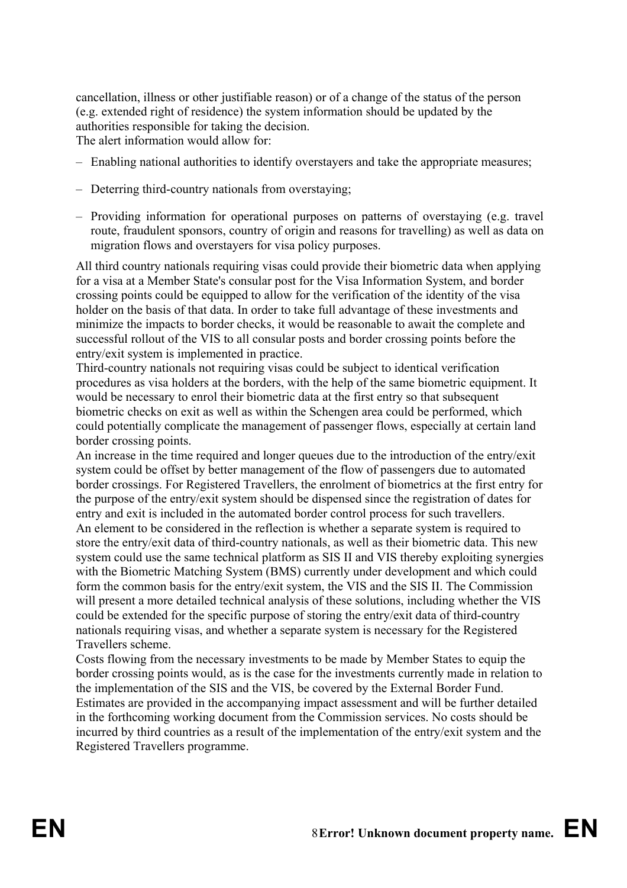cancellation, illness or other justifiable reason) or of a change of the status of the person (e.g. extended right of residence) the system information should be updated by the authorities responsible for taking the decision. The alert information would allow for:

– Enabling national authorities to identify overstayers and take the appropriate measures;

- Deterring third-country nationals from overstaying;
- Providing information for operational purposes on patterns of overstaying (e.g. travel route, fraudulent sponsors, country of origin and reasons for travelling) as well as data on migration flows and overstayers for visa policy purposes.

All third country nationals requiring visas could provide their biometric data when applying for a visa at a Member State's consular post for the Visa Information System, and border crossing points could be equipped to allow for the verification of the identity of the visa holder on the basis of that data. In order to take full advantage of these investments and minimize the impacts to border checks, it would be reasonable to await the complete and successful rollout of the VIS to all consular posts and border crossing points before the entry/exit system is implemented in practice.

Third-country nationals not requiring visas could be subject to identical verification procedures as visa holders at the borders, with the help of the same biometric equipment. It would be necessary to enrol their biometric data at the first entry so that subsequent biometric checks on exit as well as within the Schengen area could be performed, which could potentially complicate the management of passenger flows, especially at certain land border crossing points.

An increase in the time required and longer queues due to the introduction of the entry/exit system could be offset by better management of the flow of passengers due to automated border crossings. For Registered Travellers, the enrolment of biometrics at the first entry for the purpose of the entry/exit system should be dispensed since the registration of dates for entry and exit is included in the automated border control process for such travellers. An element to be considered in the reflection is whether a separate system is required to store the entry/exit data of third-country nationals, as well as their biometric data. This new system could use the same technical platform as SIS II and VIS thereby exploiting synergies with the Biometric Matching System (BMS) currently under development and which could form the common basis for the entry/exit system, the VIS and the SIS II. The Commission will present a more detailed technical analysis of these solutions, including whether the VIS could be extended for the specific purpose of storing the entry/exit data of third-country nationals requiring visas, and whether a separate system is necessary for the Registered Travellers scheme.

Costs flowing from the necessary investments to be made by Member States to equip the border crossing points would, as is the case for the investments currently made in relation to the implementation of the SIS and the VIS, be covered by the External Border Fund. Estimates are provided in the accompanying impact assessment and will be further detailed in the forthcoming working document from the Commission services. No costs should be incurred by third countries as a result of the implementation of the entry/exit system and the Registered Travellers programme.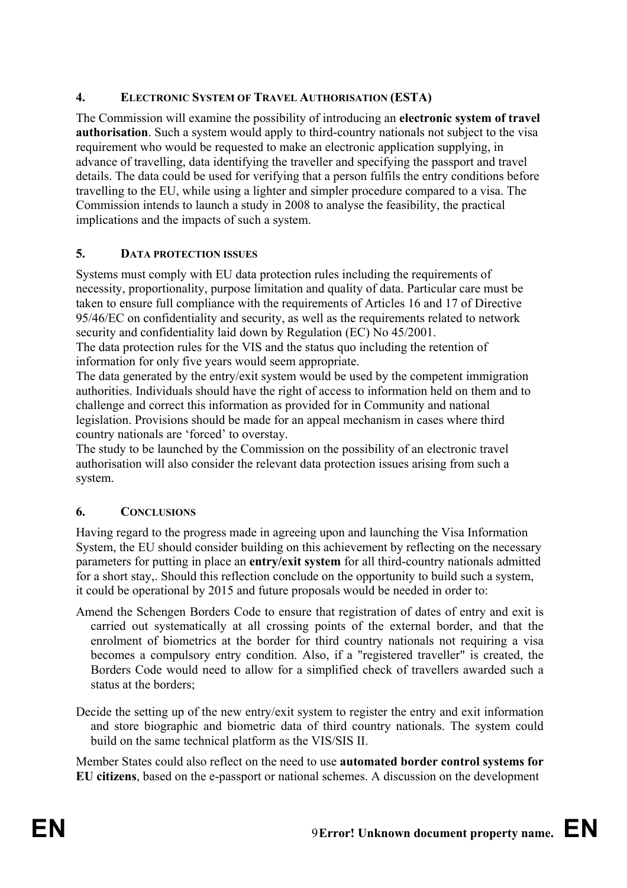# **4. ELECTRONIC SYSTEM OF TRAVEL AUTHORISATION (ESTA)**

The Commission will examine the possibility of introducing an **electronic system of travel authorisation**. Such a system would apply to third-country nationals not subject to the visa requirement who would be requested to make an electronic application supplying, in advance of travelling, data identifying the traveller and specifying the passport and travel details. The data could be used for verifying that a person fulfils the entry conditions before travelling to the EU, while using a lighter and simpler procedure compared to a visa. The Commission intends to launch a study in 2008 to analyse the feasibility, the practical implications and the impacts of such a system.

# **5. DATA PROTECTION ISSUES**

Systems must comply with EU data protection rules including the requirements of necessity, proportionality, purpose limitation and quality of data. Particular care must be taken to ensure full compliance with the requirements of Articles 16 and 17 of Directive 95/46/EC on confidentiality and security, as well as the requirements related to network security and confidentiality laid down by Regulation (EC) No 45/2001. The data protection rules for the VIS and the status quo including the retention of

information for only five years would seem appropriate.

The data generated by the entry/exit system would be used by the competent immigration authorities. Individuals should have the right of access to information held on them and to challenge and correct this information as provided for in Community and national legislation. Provisions should be made for an appeal mechanism in cases where third country nationals are 'forced' to overstay.

The study to be launched by the Commission on the possibility of an electronic travel authorisation will also consider the relevant data protection issues arising from such a system.

# **6. CONCLUSIONS**

Having regard to the progress made in agreeing upon and launching the Visa Information System, the EU should consider building on this achievement by reflecting on the necessary parameters for putting in place an **entry/exit system** for all third-country nationals admitted for a short stay,. Should this reflection conclude on the opportunity to build such a system, it could be operational by 2015 and future proposals would be needed in order to:

- Amend the Schengen Borders Code to ensure that registration of dates of entry and exit is carried out systematically at all crossing points of the external border, and that the enrolment of biometrics at the border for third country nationals not requiring a visa becomes a compulsory entry condition. Also, if a "registered traveller" is created, the Borders Code would need to allow for a simplified check of travellers awarded such a status at the borders;
- Decide the setting up of the new entry/exit system to register the entry and exit information and store biographic and biometric data of third country nationals. The system could build on the same technical platform as the VIS/SIS II.

Member States could also reflect on the need to use **automated border control systems for EU citizens**, based on the e-passport or national schemes. A discussion on the development